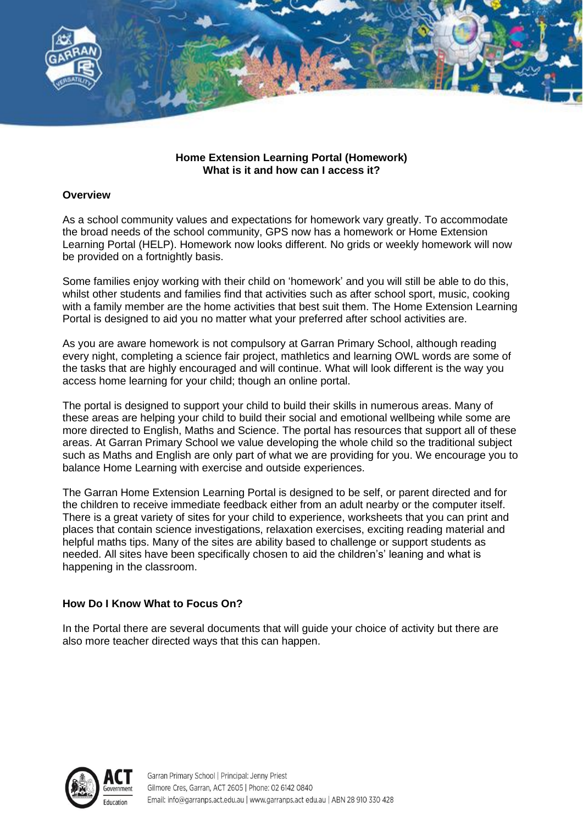

## **Home Extension Learning Portal (Homework) What is it and how can I access it?**

## **Overview**

As a school community values and expectations for homework vary greatly. To accommodate the broad needs of the school community, GPS now has a homework or Home Extension Learning Portal (HELP). Homework now looks different. No grids or weekly homework will now be provided on a fortnightly basis.

Some families enjoy working with their child on 'homework' and you will still be able to do this, whilst other students and families find that activities such as after school sport, music, cooking with a family member are the home activities that best suit them. The Home Extension Learning Portal is designed to aid you no matter what your preferred after school activities are.

As you are aware homework is not compulsory at Garran Primary School, although reading every night, completing a science fair project, mathletics and learning OWL words are some of the tasks that are highly encouraged and will continue. What will look different is the way you access home learning for your child; though an online portal.

The portal is designed to support your child to build their skills in numerous areas. Many of these areas are helping your child to build their social and emotional wellbeing while some are more directed to English, Maths and Science. The portal has resources that support all of these areas. At Garran Primary School we value developing the whole child so the traditional subject such as Maths and English are only part of what we are providing for you. We encourage you to balance Home Learning with exercise and outside experiences.

The Garran Home Extension Learning Portal is designed to be self, or parent directed and for the children to receive immediate feedback either from an adult nearby or the computer itself. There is a great variety of sites for your child to experience, worksheets that you can print and places that contain science investigations, relaxation exercises, exciting reading material and helpful maths tips. Many of the sites are ability based to challenge or support students as needed. All sites have been specifically chosen to aid the children's' leaning and what is happening in the classroom.

## **How Do I Know What to Focus On?**

In the Portal there are several documents that will guide your choice of activity but there are also more teacher directed ways that this can happen.